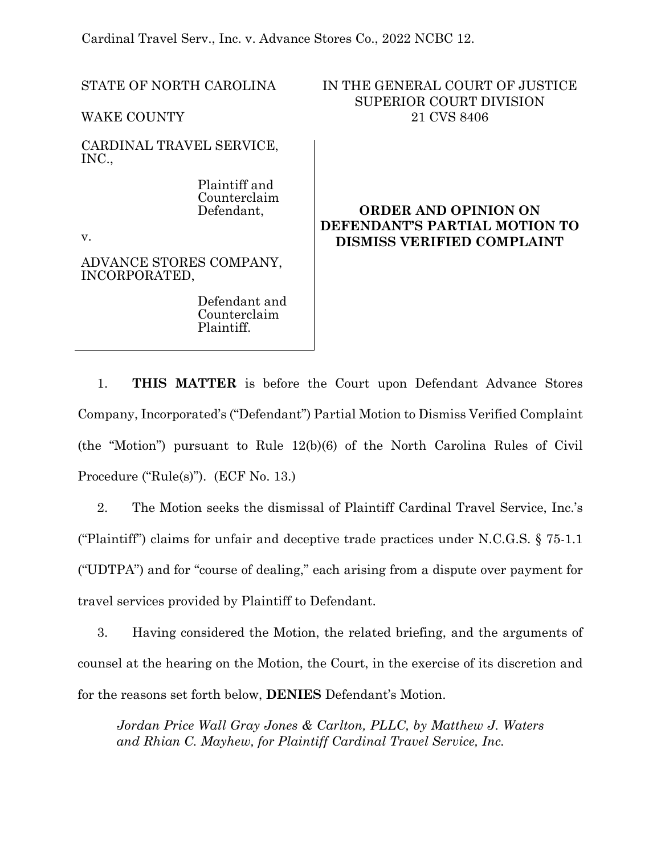Cardinal Travel Serv., Inc. v. Advance Stores Co., 2022 NCBC 12.

STATE OF NORTH CAROLINA

WAKE COUNTY

CARDINAL TRAVEL SERVICE, INC.,

> Plaintiff and Counterclaim Defendant,

v.

ADVANCE STORES COMPANY, INCORPORATED,

> Defendant and Counterclaim Plaintiff.

IN THE GENERAL COURT OF JUSTICE SUPERIOR COURT DIVISION 21 CVS 8406

# **ORDER AND OPINION ON DEFENDANT'S PARTIAL MOTION TO DISMISS VERIFIED COMPLAINT**

1. **THIS MATTER** is before the Court upon Defendant Advance Stores Company, Incorporated's ("Defendant") Partial Motion to Dismiss Verified Complaint (the "Motion") pursuant to Rule 12(b)(6) of the North Carolina Rules of Civil Procedure ("Rule(s)"). (ECF No. 13.)

2. The Motion seeks the dismissal of Plaintiff Cardinal Travel Service, Inc.'s ("Plaintiff") claims for unfair and deceptive trade practices under N.C.G.S. § 75-1.1 ("UDTPA") and for "course of dealing," each arising from a dispute over payment for travel services provided by Plaintiff to Defendant.

3. Having considered the Motion, the related briefing, and the arguments of counsel at the hearing on the Motion, the Court, in the exercise of its discretion and for the reasons set forth below, **DENIES** Defendant's Motion.

*Jordan Price Wall Gray Jones & Carlton, PLLC, by Matthew J. Waters and Rhian C. Mayhew, for Plaintiff Cardinal Travel Service, Inc.*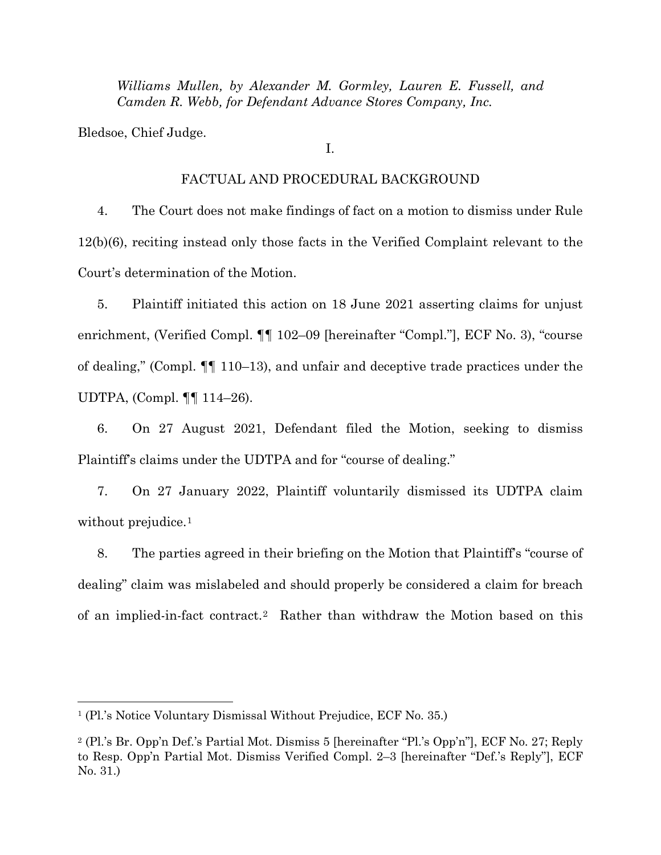*Williams Mullen, by Alexander M. Gormley, Lauren E. Fussell, and Camden R. Webb, for Defendant Advance Stores Company, Inc.* 

Bledsoe, Chief Judge.

I.

#### FACTUAL AND PROCEDURAL BACKGROUND

4. The Court does not make findings of fact on a motion to dismiss under Rule 12(b)(6), reciting instead only those facts in the Verified Complaint relevant to the Court's determination of the Motion.

5. Plaintiff initiated this action on 18 June 2021 asserting claims for unjust enrichment, (Verified Compl. ¶¶ 102–09 [hereinafter "Compl."], ECF No. 3), "course of dealing," (Compl. ¶¶ 110–13), and unfair and deceptive trade practices under the UDTPA, (Compl. ¶¶ 114–26).

6. On 27 August 2021, Defendant filed the Motion, seeking to dismiss Plaintiff's claims under the UDTPA and for "course of dealing."

7. On 27 January 2022, Plaintiff voluntarily dismissed its UDTPA claim without prejudice.<sup>1</sup>

8. The parties agreed in their briefing on the Motion that Plaintiff's "course of dealing" claim was mislabeled and should properly be considered a claim for breach of an implied-in-fact contract.[2](#page-1-1) Rather than withdraw the Motion based on this

<span id="page-1-0"></span><sup>1</sup> (Pl.'s Notice Voluntary Dismissal Without Prejudice, ECF No. 35.)

<span id="page-1-1"></span><sup>2</sup> (Pl.'s Br. Opp'n Def.'s Partial Mot. Dismiss 5 [hereinafter "Pl.'s Opp'n"], ECF No. 27; Reply to Resp. Opp'n Partial Mot. Dismiss Verified Compl. 2–3 [hereinafter "Def.'s Reply"], ECF No. 31.)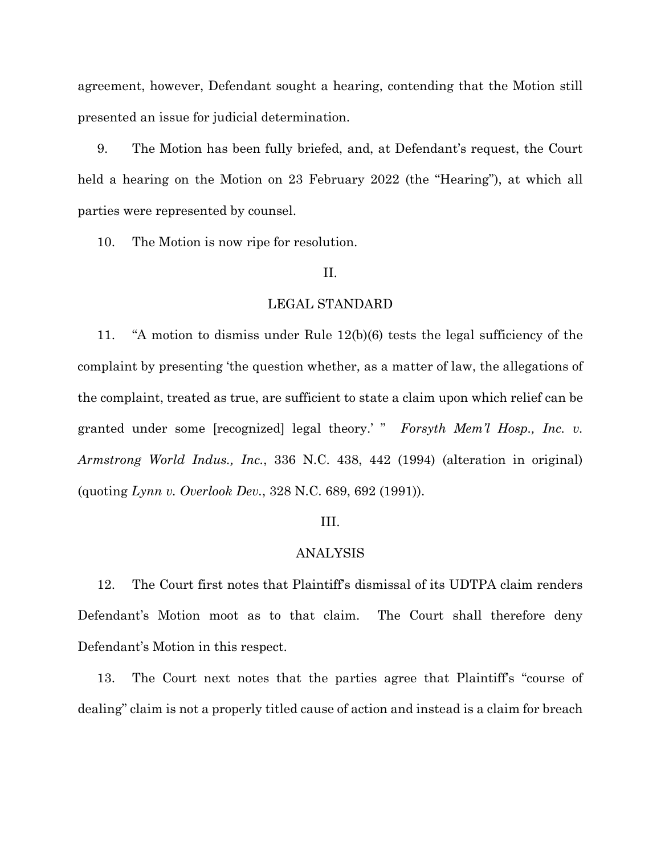agreement, however, Defendant sought a hearing, contending that the Motion still presented an issue for judicial determination.

9. The Motion has been fully briefed, and, at Defendant's request, the Court held a hearing on the Motion on 23 February 2022 (the "Hearing"), at which all parties were represented by counsel.

10. The Motion is now ripe for resolution.

## II.

### LEGAL STANDARD

11. "A motion to dismiss under Rule 12(b)(6) tests the legal sufficiency of the complaint by presenting 'the question whether, as a matter of law, the allegations of the complaint, treated as true, are sufficient to state a claim upon which relief can be granted under some [recognized] legal theory.' " *Forsyth Mem'l Hosp., Inc. v. Armstrong World Indus., Inc.*, 336 N.C. 438, 442 (1994) (alteration in original) (quoting *Lynn v. Overlook Dev.*, 328 N.C. 689, 692 (1991)).

#### III.

### ANALYSIS

12. The Court first notes that Plaintiff's dismissal of its UDTPA claim renders Defendant's Motion moot as to that claim. The Court shall therefore deny Defendant's Motion in this respect.

13. The Court next notes that the parties agree that Plaintiff's "course of dealing" claim is not a properly titled cause of action and instead is a claim for breach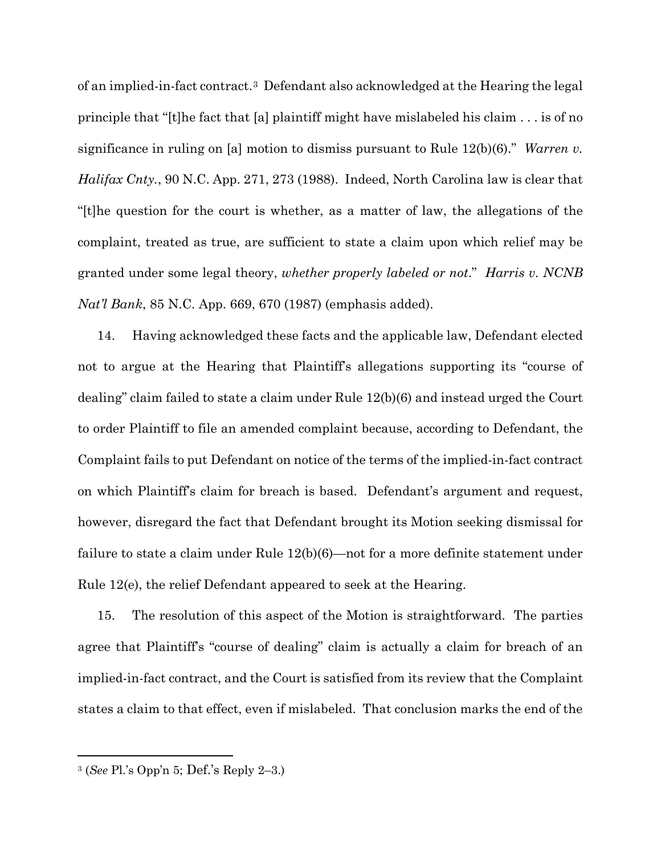of an implied-in-fact contract.[3](#page-3-0) Defendant also acknowledged at the Hearing the legal principle that "[t]he fact that [a] plaintiff might have mislabeled his claim . . . is of no significance in ruling on [a] motion to dismiss pursuant to Rule 12(b)(6)." *Warren v. Halifax Cnty.*, 90 N.C. App. 271, 273 (1988). Indeed, North Carolina law is clear that "[t]he question for the court is whether, as a matter of law, the allegations of the complaint, treated as true, are sufficient to state a claim upon which relief may be granted under some legal theory, *whether properly labeled or not*." *Harris v. NCNB Nat'l Bank*, 85 N.C. App. 669, 670 (1987) (emphasis added).

14. Having acknowledged these facts and the applicable law, Defendant elected not to argue at the Hearing that Plaintiff's allegations supporting its "course of dealing" claim failed to state a claim under Rule 12(b)(6) and instead urged the Court to order Plaintiff to file an amended complaint because, according to Defendant, the Complaint fails to put Defendant on notice of the terms of the implied-in-fact contract on which Plaintiff's claim for breach is based. Defendant's argument and request, however, disregard the fact that Defendant brought its Motion seeking dismissal for failure to state a claim under Rule 12(b)(6)—not for a more definite statement under Rule 12(e), the relief Defendant appeared to seek at the Hearing.

15. The resolution of this aspect of the Motion is straightforward. The parties agree that Plaintiff's "course of dealing" claim is actually a claim for breach of an implied-in-fact contract, and the Court is satisfied from its review that the Complaint states a claim to that effect, even if mislabeled. That conclusion marks the end of the

<span id="page-3-0"></span><sup>3</sup> (*See* Pl.'s Opp'n 5; Def.'s Reply 2–3.)